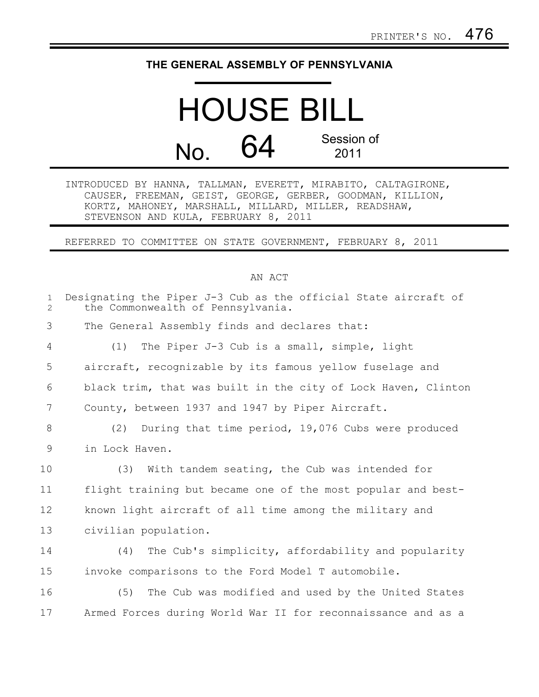## **THE GENERAL ASSEMBLY OF PENNSYLVANIA**

## HOUSE BILL No. 64 Session of 2011

INTRODUCED BY HANNA, TALLMAN, EVERETT, MIRABITO, CALTAGIRONE, CAUSER, FREEMAN, GEIST, GEORGE, GERBER, GOODMAN, KILLION, KORTZ, MAHONEY, MARSHALL, MILLARD, MILLER, READSHAW, STEVENSON AND KULA, FEBRUARY 8, 2011

REFERRED TO COMMITTEE ON STATE GOVERNMENT, FEBRUARY 8, 2011

## AN ACT

| $\mathbf{1}$<br>$\overline{2}$ | Designating the Piper J-3 Cub as the official State aircraft of<br>the Commonwealth of Pennsylvania. |
|--------------------------------|------------------------------------------------------------------------------------------------------|
| 3                              | The General Assembly finds and declares that:                                                        |
| 4                              | The Piper J-3 Cub is a small, simple, light<br>(1)                                                   |
| 5                              | aircraft, recognizable by its famous yellow fuselage and                                             |
| 6                              | black trim, that was built in the city of Lock Haven, Clinton                                        |
| 7                              | County, between 1937 and 1947 by Piper Aircraft.                                                     |
| 8                              | During that time period, 19,076 Cubs were produced<br>(2)                                            |
| 9                              | in Lock Haven.                                                                                       |
| 10                             | (3)<br>With tandem seating, the Cub was intended for                                                 |
| 11                             | flight training but became one of the most popular and best-                                         |
| 12                             | known light aircraft of all time among the military and                                              |
| 13                             | civilian population.                                                                                 |
| 14                             | The Cub's simplicity, affordability and popularity<br>(4)                                            |
| 15                             | invoke comparisons to the Ford Model T automobile.                                                   |
| 16                             | (5) The Cub was modified and used by the United States                                               |
| 17                             | Armed Forces during World War II for reconnaissance and as a                                         |